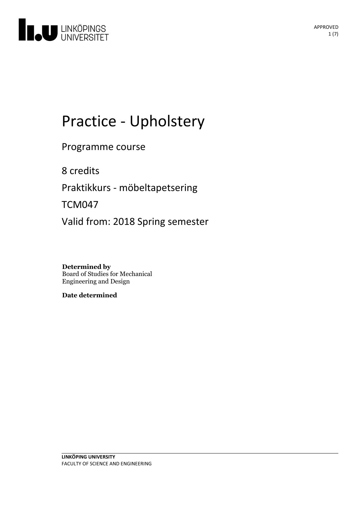

# Practice - Upholstery

Programme course

8 credits

Praktikkurs - möbeltapetsering

TCM047

Valid from: 2018 Spring semester

**Determined by** Board of Studies for Mechanical Engineering and Design

**Date determined**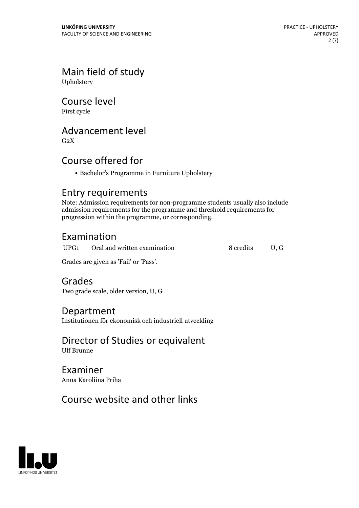Main field of study Upholstery

Course level

First cycle

# Advancement level

 $G<sub>2</sub>X$ 

# Course offered for

Bachelor's Programme in Furniture Upholstery

# Entry requirements

Note: Admission requirements for non-programme students usually also include admission requirements for the programme and threshold requirements for progression within the programme, or corresponding.

# Examination

UPG1 Oral and written examination 8 credits U, G

Grades are given as'Fail' or 'Pass'.

# Grades

Two grade scale, older version, U, G

## Department

Institutionen för ekonomisk och industriell utveckling

### Director of Studies or equivalent Ulf Brunne

Examiner Anna Karoliina Priha

# Course website and other links

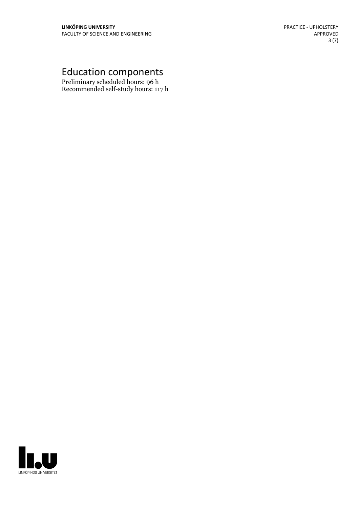# Education components

Preliminary scheduled hours: 96 h Recommended self-study hours: 117 h

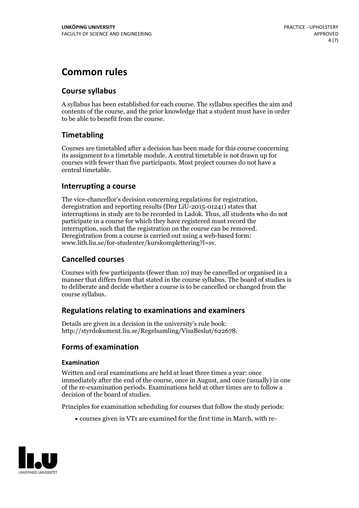# **Common rules**

### **Course syllabus**

A syllabus has been established for each course. The syllabus specifies the aim and contents of the course, and the prior knowledge that a student must have in order to be able to benefit from the course.

### **Timetabling**

Courses are timetabled after a decision has been made for this course concerning its assignment to a timetable module. A central timetable is not drawn up for courses with fewer than five participants. Most project courses do not have a central timetable.

### **Interrupting a course**

The vice-chancellor's decision concerning regulations for registration, deregistration and reporting results (Dnr LiU-2015-01241) states that interruptions in study are to be recorded in Ladok. Thus, all students who do not participate in a course for which they have registered must record the interruption, such that the registration on the course can be removed. Deregistration from <sup>a</sup> course is carried outusing <sup>a</sup> web-based form: www.lith.liu.se/for-studenter/kurskomplettering?l=sv.

### **Cancelled courses**

Courses with few participants (fewer than 10) may be cancelled or organised in a manner that differs from that stated in the course syllabus. The board of studies is to deliberate and decide whether a course is to be cancelled orchanged from the course syllabus.

### **Regulations relatingto examinations and examiners**

Details are given in a decision in the university's rule book: http://styrdokument.liu.se/Regelsamling/VisaBeslut/622678.

### **Forms of examination**

#### **Examination**

Written and oral examinations are held at least three times a year: once immediately after the end of the course, once in August, and once (usually) in one of the re-examination periods. Examinations held at other times are to follow a decision of the board of studies.

Principles for examination scheduling for courses that follow the study periods:

courses given in VT1 are examined for the first time in March, with re-

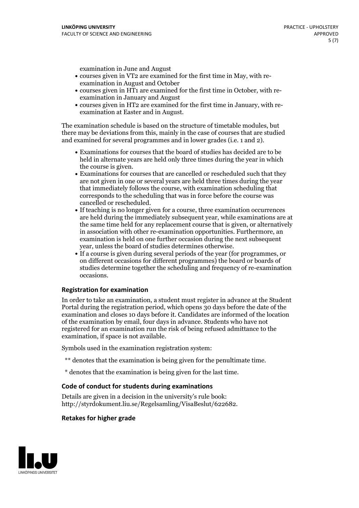examination in June and August

- courses given in VT2 are examined for the first time in May, with re-examination in August and October
- courses given in HT1 are examined for the first time in October, with re-examination in January and August
- courses given in HT2 are examined for the first time in January, with re-examination at Easter and in August.

The examination schedule is based on the structure of timetable modules, but there may be deviations from this, mainly in the case of courses that are studied and examined for several programmes and in lower grades (i.e. 1 and 2).

- Examinations for courses that the board of studies has decided are to be held in alternate years are held only three times during the year in which
- the course is given.<br>• Examinations for courses that are cancelled or rescheduled such that they are not given in one or several years are held three times during the year that immediately follows the course, with examination scheduling that corresponds to the scheduling that was in force before the course was cancelled or rescheduled.<br>• If teaching is no longer given for a course, three examination occurrences
- are held during the immediately subsequent year, while examinations are at the same time held for any replacement course that is given, or alternatively in association with other re-examination opportunities. Furthermore, an examination is held on one further occasion during the next subsequent year, unless the board of studies determines otherwise.<br>• If a course is given during several periods of the year (for programmes, or
- on different occasions for different programmes) the board orboards of studies determine together the scheduling and frequency of re-examination occasions.

#### **Registration for examination**

In order to take an examination, a student must register in advance at the Student Portal during the registration period, which opens 30 days before the date of the examination and closes 10 days before it. Candidates are informed of the location of the examination by email, four days in advance. Students who have not registered for an examination run the risk of being refused admittance to the examination, if space is not available.

Symbols used in the examination registration system:

- \*\* denotes that the examination is being given for the penultimate time.
- \* denotes that the examination is being given for the last time.

#### **Code of conduct for students during examinations**

Details are given in a decision in the university's rule book: http://styrdokument.liu.se/Regelsamling/VisaBeslut/622682.

#### **Retakes for higher grade**

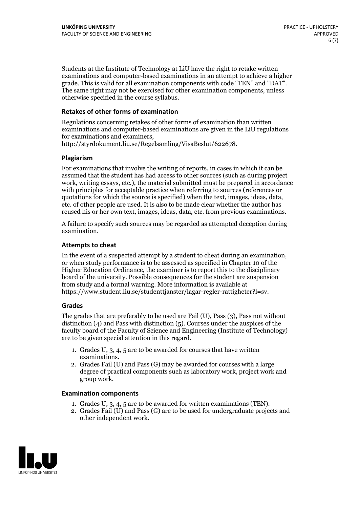Students at the Institute of Technology at LiU have the right to retake written examinations and computer-based examinations in an attempt to achieve a higher grade. This is valid for all examination components with code "TEN" and "DAT". The same right may not be exercised for other examination components, unless otherwise specified in the course syllabus.

#### **Retakes of other forms of examination**

Regulations concerning retakes of other forms of examination than written examinations and computer-based examinations are given in the LiU regulations for examinations and examiners, http://styrdokument.liu.se/Regelsamling/VisaBeslut/622678.

#### **Plagiarism**

For examinations that involve the writing of reports, in cases in which it can be assumed that the student has had access to other sources (such as during project work, writing essays, etc.), the material submitted must be prepared in accordance with principles for acceptable practice when referring to sources (references or quotations for which the source is specified) when the text, images, ideas, data, etc. of other people are used. It is also to be made clear whether the author has reused his or her own text, images, ideas, data, etc. from previous examinations.

A failure to specify such sources may be regarded as attempted deception during examination.

#### **Attempts to cheat**

In the event of <sup>a</sup> suspected attempt by <sup>a</sup> student to cheat during an examination, or when study performance is to be assessed as specified in Chapter <sup>10</sup> of the Higher Education Ordinance, the examiner is to report this to the disciplinary board of the university. Possible consequences for the student are suspension from study and a formal warning. More information is available at https://www.student.liu.se/studenttjanster/lagar-regler-rattigheter?l=sv.

#### **Grades**

The grades that are preferably to be used are Fail (U), Pass (3), Pass not without distinction  $(4)$  and Pass with distinction  $(5)$ . Courses under the auspices of the faculty board of the Faculty of Science and Engineering (Institute of Technology) are to be given special attention in this regard.

- 1. Grades U, 3, 4, 5 are to be awarded for courses that have written
- examinations. 2. Grades Fail (U) and Pass (G) may be awarded for courses with <sup>a</sup> large degree of practical components such as laboratory work, project work and group work.

#### **Examination components**

- 
- 1. Grades U, 3, 4, <sup>5</sup> are to be awarded for written examinations (TEN). 2. Grades Fail (U) and Pass (G) are to be used for undergraduate projects and other independent work.